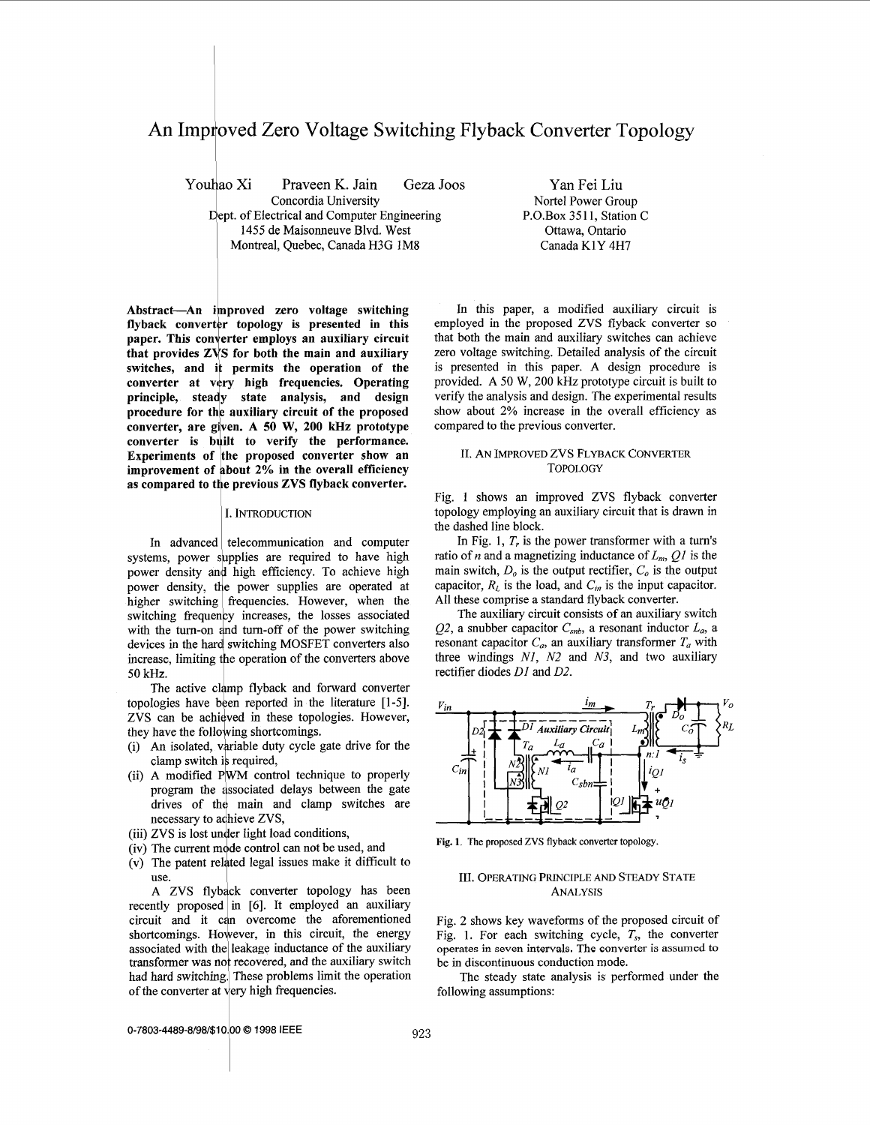# <span id="page-0-0"></span>An Improved Zero Voltage Switching Flyback Converter Topology

Youhao Xi Praveen K. Jain Geza Joos Yan Fei Liu<br>Concordia University Nortel Power Gro Dept. of Electrical and Computer Engineering 1455 de Maisonneuve Blvd. West <sup>1</sup>Montreal, Quebec, Canada H3G **1M8** 

Nortel Power Group<br>P.O.Box 3511, Station C Ottawa, Ontario Canada K1Y **4H7** 

Abstract—An improved zero voltage switching flyback converter topology is presented in this **paper. This converter employs an auxiliary circuit that provides** *ZVS*  **for both the main and auxiliary**  switches, and it permits the operation of the converter at very high frequencies. Operating **principle, steady state analysis, and design procedure for the auxiliary circuit of the proposed converter, are given. A 50 W, 200 kHz prototype**  converter is built to verify the performance. **Experiments of the proposed converter show an**  improvement of about 2% in the overall efficiency as compared to the previous ZVS flyback converter.

#### I. INTRODUCTION

In advanced telecommunication and computer systems, power supplies are required to have high power density and high efficiency. To achieve high power density, the power supplies are operated at higher switching frequencies. However, when the switching frequency increases, the losses associated with the turn-on and turn-off of the power switching devices in the hard switching MOSFET converters also increase, limiting the operation of the converters above 50 kHz.

The active clamp flyback and forward converter topologies have been reported in the literature [1-5]. ZVS can be achieved in these topologies. However, they have the following shortcomings.

- (i) An isolated, variable duty cycle gate drive for the clamp switch is required,
- (ii) A modified PWM control technique to properly program the associated delays between the gate drives of the main and clamp switches are necessary to achieve ZVS,
- (iii) ZVS is lost under light load conditions,
- (iv) The current mode control can not be used, and
- (v) The patent related legal issues make it difficult to use.

A ZVS flyback converter topology has been recently proposed in *[6].* It employed an auxiliary circuit and it can overcome the aforementioned shortcomings. However, in this circuit, the energy associated with the leakage inductance of the auxiliary transformer was not recovered, and the auxiliary switch had hard switching. These problems limit the operation of the converter at very high frequencies.

In this paper, a modified auxiliary circuit is employed in the proposed ZVS flyback converter so that both the main and auxiliary switches can achieve zero voltage switching. Detailed analysis of the circuit is presented in this paper. **A** design procedure is provided. **A** 50 W, 200 kHz prototype circuit is built to verify the analysis and design. The experimental results show about 2% increase in the overall efficiency as compared to the previous converter.

### **11.** AN IMPROVED Zvs FLYBACK CONVERTER TOPOLOGY

Fig. **1** shows an improved ZVS flyback converter topology employing an auxiliary circuit that is drawn in the dashed line block.

In Fig. 1, *T,* is the power transformer with a turn's ratio of *n* and a magnetizing inductance of  $L_n$ ,  $OI$  is the main switch,  $D<sub>o</sub>$  is the output rectifier,  $C<sub>o</sub>$  is the output capacitor,  $R_L$  is the load, and  $C_m$  is the input capacitor. All these comprise a standard flyback converter.

The auxiliary circuit consists of an auxiliary switch QZ, a snubber capacitor *Csnb,* a resonant inductor *La,* a resonant capacitor  $C_a$ , an auxiliary transformer  $T_a$  with three windings *NI, NZ* and *N3,* and two auxiliary rectifier diodes *DI* and *02.* 



**Fig. 1.** The **proposed** ZVS **flyback** converter topology

### 111. OPERATING PRINCIPLE AND STEADY STATE ANALYSIS

Fig. 2 shows key waveforms of the proposed circuit of Fig. 1. For each switching cycle, *T,,* the converter **operates** in **seven intervals. The converter is assumed to**  be in discontinuous conduction mode.

The steady state analysis is performed under the following assumptions:

**0-7803-4489-8/98/\$10.00 © 1998 IEEE**  $923$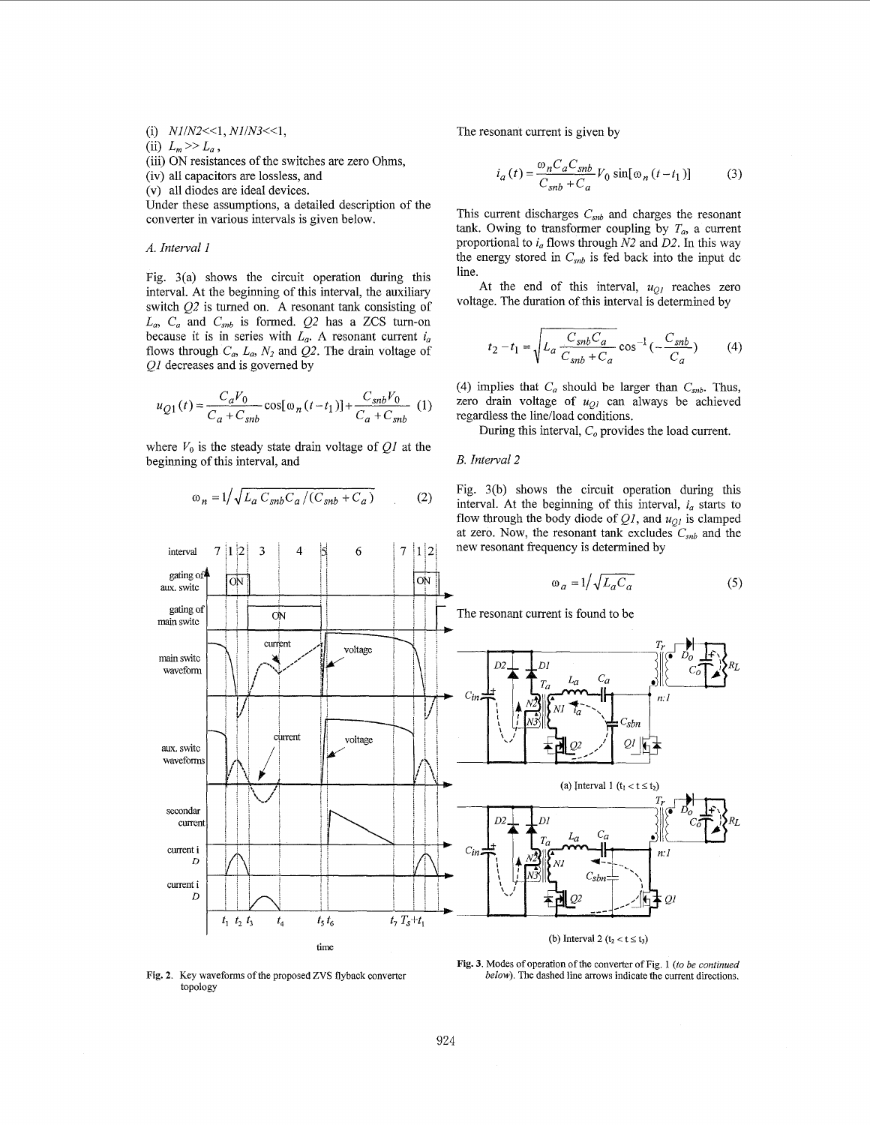(i)  $N1/N2 \leq 1, N1/N3 \leq 1$ ,

(ii)  $L_m \gg L_a$ ,

(iii) ON resistances of the switches are zero Ohms,

(iv) all capacitors are lossless, and

(v) all diodes are ideal devices.

Under these assumptions, a detailed description of the converter in various intervals is given below.

## *A. Interval 1*

interval

aux. switc

gating of

 $\overline{7}$  $|1|2|$  $\overline{3}$ 

ON

Fig. 3(a) shows the circuit operation during this interval. At the beginning of this interval, the auxiliary switch *Q2* is turned on. A resonant tank consisting of  $L_a$ ,  $C_a$  and  $C_{sub}$  is formed.  $Q2$  has a ZCS turn-on because it is in series with  $L_a$ . A resonant current  $i_a$ flows through  $C_a$ ,  $L_a$ ,  $N_2$  and  $Q_2$ . The drain voltage of *Ql* decreases and is governed by

$$
u_{Q1}(t) = \frac{C_a V_0}{C_a + C_{sub}} \cos[\omega_n (t - t_1)] + \frac{C_{sub} V_0}{C_a + C_{sub}} (1)
$$

where  $V_0$  is the steady state drain voltage of  $QI$  at the beginning of this interval, and

$$
\omega_n = 1 / \sqrt{L_a C_{snb} C_a / (C_{snb} + C_a)}
$$
 (2)

6

 $7|1|2$ 

ON

 $\overline{4}$ 

The resonant current is given by

$$
i_a(t) = \frac{\omega_n C_a C_{snb}}{C_{snb} + C_a} V_0 \sin[\omega_n (t - t_1)]
$$
 (3)

This current discharges *Csnb* and charges the resonant tank. Owing to transformer coupling by  $T_a$ , a current proportional to *i,,* flows through *N2* and *02.* In this way the energy stored in  $C_{sub}$  is fed back into the input dc line.

At the end of this interval,  $u_{Q}$  reaches zero voltage. The duration of this interval is determined by

$$
t_2 - t_1 = \sqrt{L_a \frac{C_{snb} C_a}{C_{snb} + C_a}} \cos^{-1}(-\frac{C_{snb}}{C_a})
$$
 (4)

(4) implies that  $C_a$  should be larger than  $C_{sub}$ . Thus, zero drain voltage of  $u_{QI}$  can always be achieved regardless the line/load conditions.

During this interval,  $C<sub>o</sub>$  provides the load current.

## *B. Interval 2*

Fig. 3(b) shows the circuit operation during this interval. At the beginning of this interval,  $i_a$  starts to flow through the body diode of  $Q_l$ , and  $u_{Q_l}$  is clamped at zero. Now, the resonant tank excludes  $C_{sub}$  and the new resonant frequency is determined by

$$
\omega_a = 1 / \sqrt{L_a C_a} \tag{5}
$$



[Fig.](#page-0-0) 2. Key waveforms of the proposed ZVS flyback converter topology

**[Fig.](#page-2-0) 3.** Modes of operation of the converter of [Fig. 1](#page-0-0) *(to be continued below)*. The dashed line arrows indicate the current directions.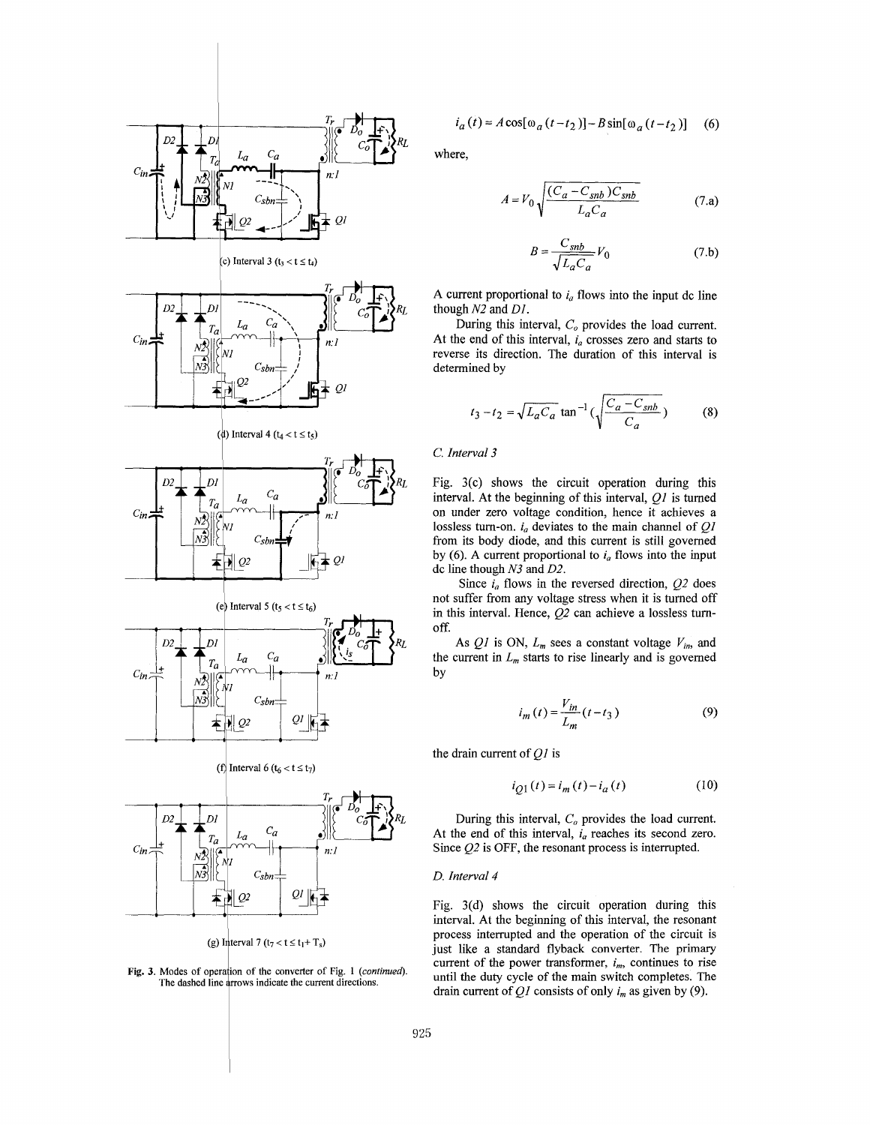<span id="page-2-0"></span>

**Fig. 3. Modes** of **operalion** of **the converter** of **[Fig. 1](#page-0-0)** *(continued).*  The dashed line arrows indicate the current directions.

$$
i_a(t) = A\cos[\omega_a(t - t_2)] - B\sin[\omega_a(t - t_2)] \quad (6)
$$

where,

$$
A = V_0 \sqrt{\frac{(C_a - C_{snb})C_{snb}}{L_a C_a}}
$$
(7.a)

$$
B = \frac{C_{snb}}{\sqrt{L_a C_a}} V_0 \tag{7.b}
$$

A current proportional to  $i_a$  flows into the input dc line though *N2* and *Dl,* 

During this interval,  $C<sub>o</sub>$  provides the load current. At the end of this interval,  $i_a$  crosses zero and starts to reverse its direction. The duration of this interval is determined by

$$
t_3 - t_2 = \sqrt{L_a C_a} \tan^{-1}(\sqrt{\frac{C_a - C_{snb}}{C_a}})
$$
 (8)

*C. Interval* **3** 

Fig. 3(c) shows the circuit operation during this interval. At the beginning of this interval, *Ql* is turned on under zero voltage condition, hence it achieves a lossless turn-on. *i,* deviates to the main channel of *QI*  from its body diode, and this current is still governed by (6). A current proportional to  $i_a$  flows into the input dc line though *N3* and *02.* 

Since  $i_a$  flows in the reversed direction,  $Q^2$  does not suffer from any voltage stress when it is turned off in this interval. Hence, *Q2* can achieve a lossless turnoff.

As  $QI$  is ON,  $L_m$  sees a constant voltage  $V_{in}$ , and the current in  $L_m$  starts to rise linearly and is governed by

$$
i_m \text{ status to its inequality and is governed}
$$
  

$$
i_m(t) = \frac{V_{in}}{L_m}(t - t_3)
$$
 (9)

$$
i_{Q1}(t) = i_m(t) - i_a(t)
$$
 (10)

During this interval,  $C<sub>o</sub>$  provides the load current. At the end of this interval,  $i_a$  reaches its second zero. Since Q2 is OFF, the resonant process is interrupted.

#### *D. Interval 4*

Fig. 3(d) shows the circuit operation during this interval. At the beginning of this interval, the resonant process interrupted and the operation of the circuit is just like a standard flyback converter. The primary current of the power transformer,  $i_m$ , continues to rise until the duty cycle of the main switch completes. The drain current of  $Q_1$  consists of only  $i_m$  as given by (9).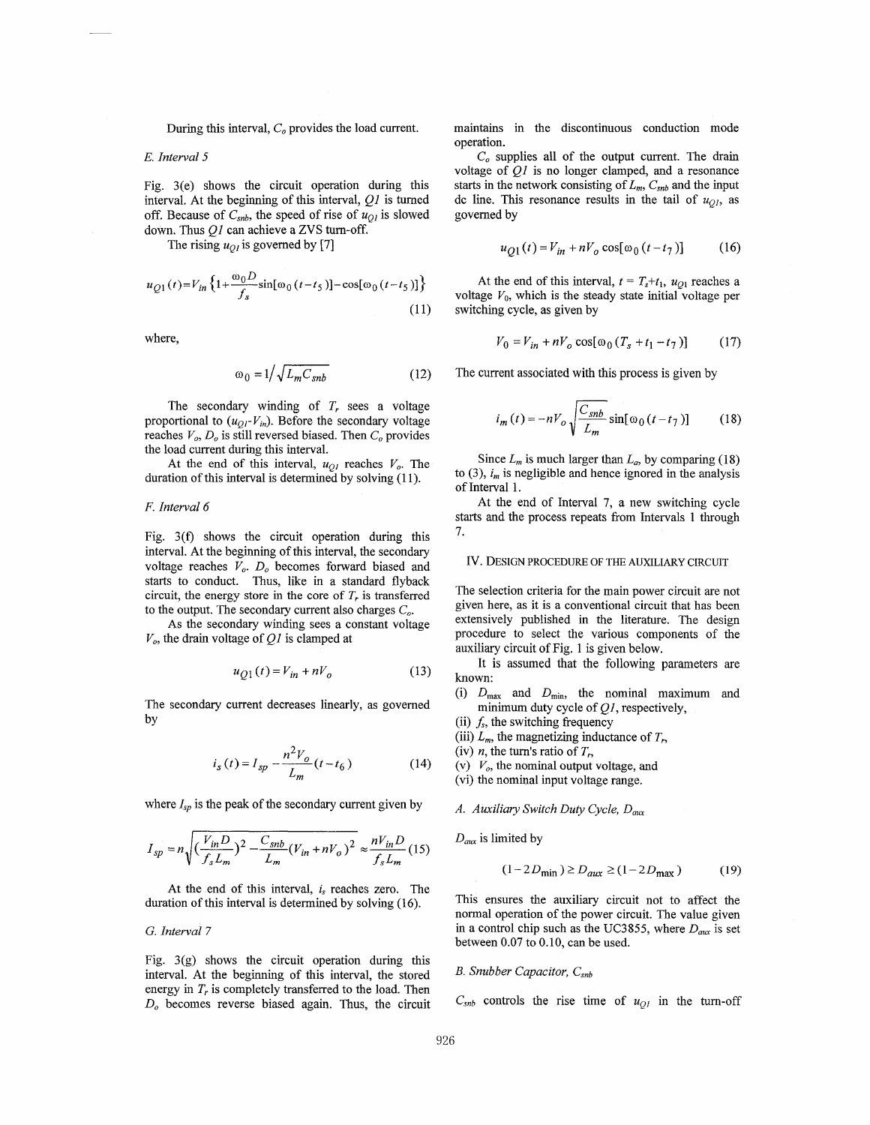During this interval, *C<sub>o</sub>* provides the load current.

#### *E. Interval* **5**

Fig. 3(e) shows the circuit operation during this interval. At the beginning of this interval, *Ql* is turned off. Because of  $C_{snb}$ , the speed of rise of  $u_{Ql}$  is slowed down. Thus *Ql* can achieve a ZVS turn-off.

The rising  $u_{Q}$  is governed by [7]

$$
u_{Q1}(t) = V_{in} \left\{ 1 + \frac{\omega_0 D}{f_s} \sin[\omega_0 (t - t_5)] - \cos[\omega_0 (t - t_5)] \right\}
$$
\n(11)

where.

$$
\omega_0 = 1 / \sqrt{L_m C_{snb}} \tag{12}
$$

The secondary winding of  $T_r$  sees a voltage proportional to  $(u_{QI} - V_{in})$ . Before the secondary voltage reaches  $V_o$ ,  $D_o$  is still reversed biased. Then  $C_o$  provides the load current during this interval.

At the end of this interval,  $u_{O}$  reaches  $V_o$ . The duration of this interval is determined by solving (11).

#### *F. Interval 6*

Fig. 3(f) shows the circuit operation during this interval. At the beginning of this interval, the secondary voltage reaches *V,. Do* becomes forward biased and starts to conduct. Thus, like in a standard flyback circuit, the energy store in the core of  $T<sub>r</sub>$  is transferred to the output. The secondary current also charges  $C<sub>o</sub>$ .

As the secondary winding sees a constant voltage  $V<sub>o</sub>$ , the drain voltage of  $Q<sub>I</sub>$  is clamped at

$$
u_{Q1}(t) = V_{in} + nV_o \tag{13}
$$

The secondary current decreases linearly, as governed by

$$
i_s(t) = I_{sp} - \frac{n^2 V_o}{L_m}(t - t_6)
$$
 (14)

where  $I_{sp}$  is the peak of the secondary current given by

$$
I_{sp} = n \sqrt{\left(\frac{V_{in}D}{f_s L_m}\right)^2 - \frac{C_{snb}}{L_m}(V_{in} + nV_o)^2} \approx \frac{nV_{in}D}{f_s L_m}
$$
(15)

At the end of this interval, *is* reaches zero. The duration of this interval is determined by solving (16).

*G. Interval 7* 

Fig.  $3(g)$  shows the circuit operation during this interval. At the beginning of this interval, the stored energy in *T,* is completely transferred to the load. Then *D,* becomes reverse biased again. Thus, the circuit maintains in the discontinuous conduction mode operation.

 $C<sub>o</sub>$  supplies all of the output current. The drain voltage of *Ql* is no longer clamped, and a resonance starts in the network consisting of  $L_m$ ,  $C_{snb}$  and the input dc line. This resonance results in the tail of  $u_{OL}$ , as governed by

$$
u_{O1}(t) = V_{in} + nV_o \cos[\omega_0 (t - t_7)] \tag{16}
$$

At the end of this interval,  $t = T_s + t_1$ ,  $u_{Q1}$  reaches a voltage  $V_0$ , which is the steady state initial voltage per switching cycle, as given by

$$
V_0 = V_{in} + nV_o \cos[\omega_0 (T_s + t_1 - t_7)] \tag{17}
$$

The current associated with this process is given by

$$
i_m(t) = -nV_o \sqrt{\frac{C_{snb}}{L_m}} \sin[\omega_0(t - t_7)] \tag{18}
$$

Since  $L_m$  is much larger than  $L_a$ , by comparing (18) to  $(3)$ ,  $i_m$  is negligible and hence ignored in the analysis of Interval 1.

At the end of Interval 7, a new switching cycle starts and the process repeats from Intervals 1 through 7.

## Iv. DESIGN PROCEDURE OF THE AUXILIARY CIRCUIT

The selection criteria for the main power circuit are not given here, as it is a conventional circuit that has been extensively published in the literature. The design procedure to select the various components of the auxiliary circuit of [Fig. 1](#page-0-0) is given below.

It is assumed that the following parameters are known:

- (i)  $D_{\text{max}}$  and  $D_{\text{min}}$ , the nominal maximum and minimum duty cycle of *Ql,* respectively,
- (ii) *fs,* the switching frequency
- (iii)  $L_m$ , the magnetizing inductance of  $T_r$ ,
- (iv) *n*, the turn's ratio of  $T_r$ ,

(v)  $V_o$ , the nominal output voltage, and

(vi) the nominal input voltage range.

*A. Auxiliary Switch Duty Cycle, D<sub>aux</sub>* 

 $D_{aux}$  is limited by

$$
(1 - 2D_{\min}) \ge D_{aux} \ge (1 - 2D_{\max})
$$
 (19)

This ensures the auxiliary circuit not to affect the normal operation of the power circuit. The value given in a control chip such as the UC3855, where  $D_{aux}$  is set between 0.07 to 0.10, can be used.

## *B. Snubber Capacitor, Csnb*

 $C_{\text{sub}}$  controls the rise time of  $u_{QI}$  in the turn-off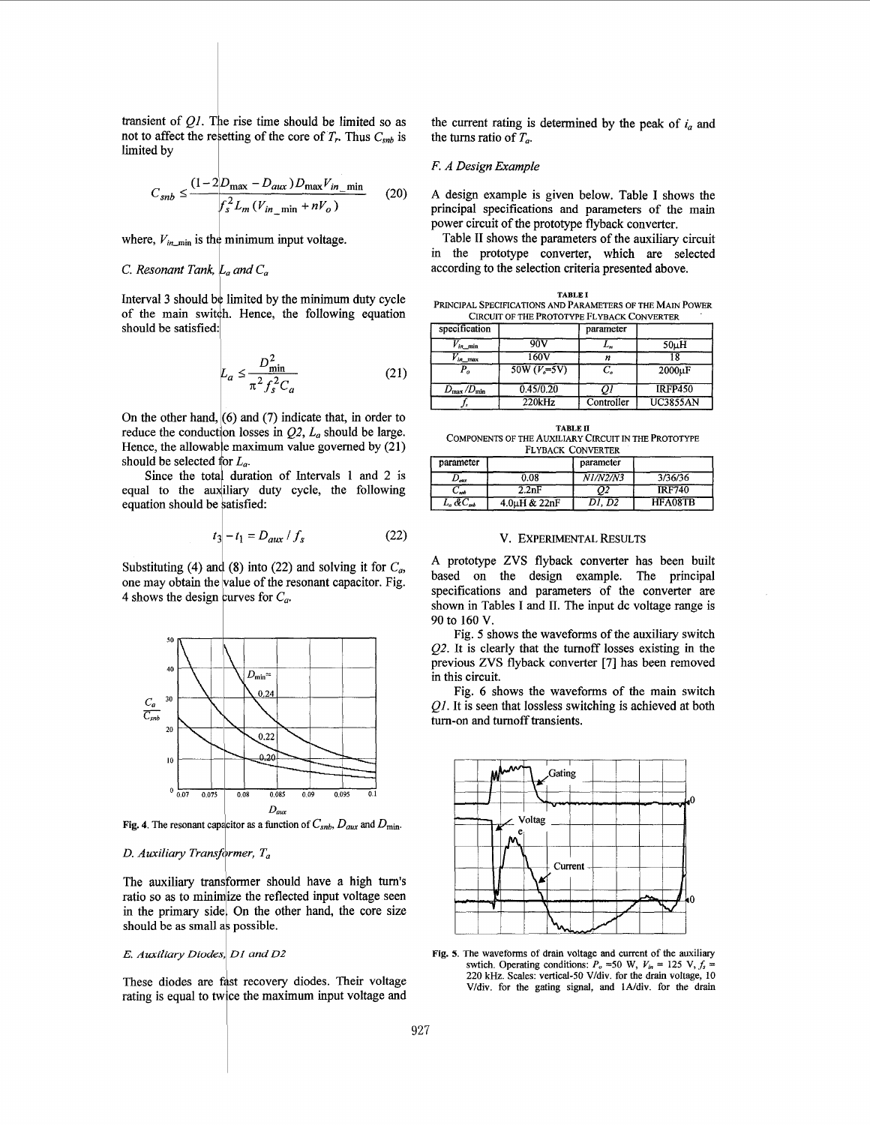transient of  $Q1$ . The rise time should be limited so as not to affect the resetting of the core of  $T_r$ . Thus  $C_{sub}$  is limited by

$$
C_{snb} \le \frac{(1 - 2D_{\text{max}} - D_{\text{aux}})D_{\text{max}}V_{in\_m\text{in}}}{f_s^2 L_m (V_{in\_m\text{in}} + nV_o)}
$$
(20)

where,  $V_{in,min}$  is the minimum input voltage.

#### *C. Resonant Tank, la and Ca*

Interval 3 should be limited by the minimum duty cycle of the main switch. Hence, the following equation should be satisfied:

$$
L_a \le \frac{D_{\text{min}}^2}{\pi^2 f_s^2 C_a} \tag{21}
$$

On the other hand, *(6)* and **(7)** indicate that, in order to reduce the conduction losses in *Q2, La* should be large. Hence, the allowable maximum value governed by (21) should be selected for  $L_a$ .

Since the total duration of Intervals 1 and 2 is equal to the auxiliary duty cycle, the following equation should be satisfied:

$$
t_3 - t_1 = D_{aux} / f_s \tag{22}
$$

Substituting (4) and (8) into (22) and solving it for  $C_a$ , one may obtain the value of the resonant capacitor. Fig. 4 shows the design curves for  $C_a$ .



**Fig. 4.** The resonant capacitor as a function of  $C_{snb}$ ,  $D_{aux}$  and  $D_{min}$ 

### D. Auxiliary Transformer, T<sub>a</sub>

The auxiliary transformer should have a high turn's ratio so as to minimize the reflected input voltage seen in the primary side. On the other hand, the core size should be as small as possible.

#### *E. Auxiliary Diodes,~ DI and DZ*

These diodes are fast recovery diodes. Their voltage rating is equal to twice the maximum input voltage and the current rating is determined by the peak of *i,* and the turns ratio of  $T_a$ .

## *F. A Design Example*

**A** design example is given below. Table I shows the principal specifications and parameters of the main power circuit of the prototype flyback converter.

Table **I1** shows the parameters of the auxiliary circuit in the prototype converter, which are selected according to the selection criteria presented above.

| <b>TABLE I</b>                                            |
|-----------------------------------------------------------|
| PRINCIPAL SPECIFICATIONS AND PARAMETERS OF THE MAIN POWER |
| CIRCUIT OF THE PROTOTYPE FLYBACK CONVERTER                |

| specification                   |               | parameter  |                   |
|---------------------------------|---------------|------------|-------------------|
| $V_{in,min}$                    | 90V           | L"         | 50 <sub>µ</sub> H |
| $V_{in,max}$                    | 160V          |            |                   |
| Р,                              | $50W (Ve=5V)$ | C,         | 2000uF            |
| $D_{\text{max}}/D_{\text{min}}$ | 0.45/0.20     |            | <b>IRFP450</b>    |
|                                 | $220$ kHz     | Controller | <b>UC3855AN</b>   |

| <b>TABLE II</b>                                                                                                                                    |
|----------------------------------------------------------------------------------------------------------------------------------------------------|
| Components of the Auxiliary Circuit in the Prototype                                                                                               |
| $E$ $\mathbf{v}$ $\mathbf{v}$ $\mathbf{v}$ $\mathbf{v}$ $\mathbf{v}$ $\mathbf{v}$ $\mathbf{v}$ $\mathbf{v}$ $\mathbf{v}$ $\mathbf{v}$ $\mathbf{v}$ |

| FLYBACK CONVERTER          |              |                                |               |  |  |
|----------------------------|--------------|--------------------------------|---------------|--|--|
| parameter                  |              | parameter                      |               |  |  |
| $\mathcal{L}_{\text{aux}}$ | 0.08         | $\overline{N}$ <i>N1/N2/N3</i> | 3/36/36       |  |  |
| $-$ snb                    | 2.2nF        |                                | <b>IRF740</b> |  |  |
| $L_a\,\& C_{\rm sub}$      | 4.0uH & 22nF | D1. D2                         | HFA08TB       |  |  |

# V. **EXPERIMENTAL RESULTS**

**A** prototype ZVS flyback converter has been built based on the design example. The principal specifications and parameters **of** the converter are shown in Tables I and 11. The input dc voltage range is 90 to **160** V.

Fig. 5 shows the waveforms of the auxiliary switch Q2. It **is** clearly that the turnoff losses existing in the previous **ZVS** flyback converter [7] has been removed in this circuit.

Fig. *6* shows the waveforms of the main switch  $QI$ . It is seen that lossless switching is achieved at both tum-on and tumoff transients.



**Fig. 5.** The waveforms of drain voltage and current of the auxiliary swtich. Operating conditions:  $P_o = 50 \text{ W}$ ,  $V_{in} = 125 \text{ V}$ ,  $f_s =$ **220 kHz. Scales: vertical-50 Vfdiv. for the drain voltage, 10**  V/div. for the gating signal, and 1A/div. for the drain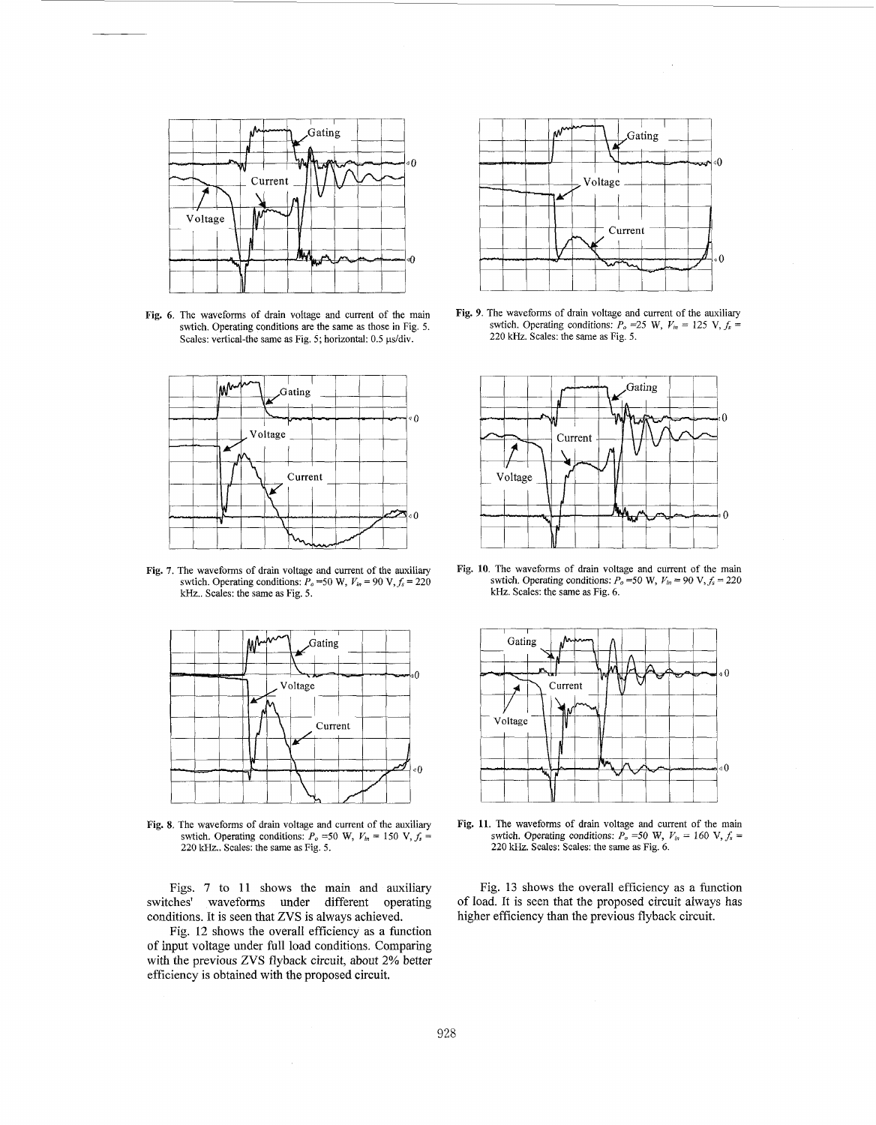

**Fig.** *6.* The waveforms of drain voltage and current of the main swtich. Operating conditions are the same **as** those in Fig. **5.**  Scales: vertical-the same as Fig. 5; horizontal: 0.5 µs/div.



**Fig. 7.** The waveforms of drain voltage and current of the auxiliary swtich. Operating conditions:  $P_o$  =50 W,  $V_m$  = 90 V,  $f_s$  = 220 kHz.. Scales: the same as Fig. 5.



**Fig. 8.** The waveforms of drain voltage and current of the auxiliary swtich. Operating conditions:  $P_o$  =50 W,  $V_{in}$  = 150 V,  $f_s$  = 220 kHz.. Scales: the same **as** Fig. **5.** 

conditions. It is seen that ZVS is always achieved.

Fig. 12 shows the overall efficiency as a function of input voltage under full load conditions. Comparing with the previous ZVS flyback circuit, about 2% better efficiency is obtained with the proposed circuit.



**Fig.** *9.* The waveforms of drain voltage and current of the auxiliary swtich. Operating conditions:  $P_o$  =25 W,  $V_m$  = 125 V,  $f_s$  = 220 **kHz.** Scales: the same as Fig. **5.** 



Fig. **10.** The waveforms of drain voltage and current of the main swtich. Operating conditions:  $P_o = 50 \text{ W}$ ,  $V_{ln} = 90 \text{ V}$ ,  $f_s = 220$ **kHz.** Scales: the same as Fig. *6.* 



**Fig. 11.** The waveforms of drain voltage and current of the main swtich. Operating conditions:  $P_o = 50$  W,  $V_{in} = 160$  V,  $f_s =$ 220 kHz. Scales: Scales: the same as Fig. *6.* 

Figs. 7 to 11 shows the main and auxiliary Fig. 13 shows the overall efficiency as a function switches' waveforms under different operating of load. It is seen that the proposed circuit always has higher efficiency than the previous flyback circuit.